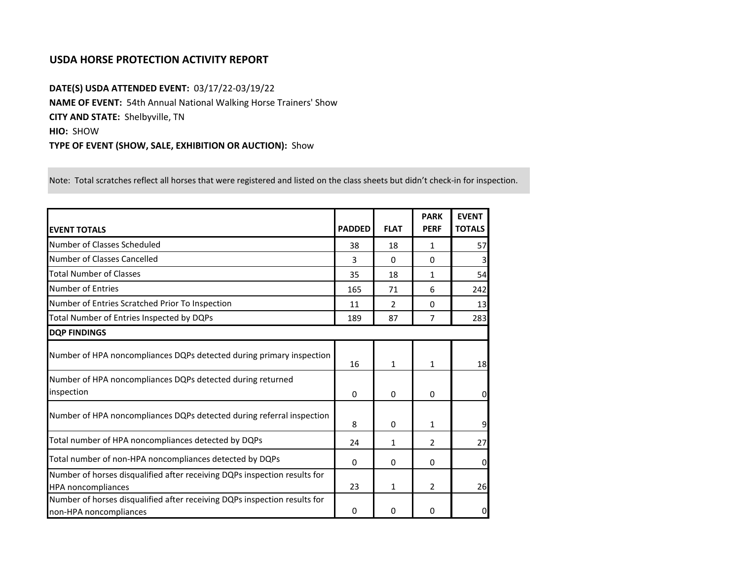## **USDA HORSE PROTECTION ACTIVITY REPORT**

**DATE(S) USDA ATTENDED EVENT:** 03/17/22-03/19/22 **NAME OF EVENT:** 54th Annual National Walking Horse Trainers' Show **CITY AND STATE:** Shelbyville, TN **HIO:** SHOW **TYPE OF EVENT (SHOW, SALE, EXHIBITION OR AUCTION):** Show

Note: Total scratches reflect all horses that were registered and listed on the class sheets but didn't check-in for inspection.

| <b>EVENT TOTALS</b>                                                                                    | <b>PADDED</b> | <b>FLAT</b>   | <b>PARK</b><br><b>PERF</b> | <b>EVENT</b><br><b>TOTALS</b> |
|--------------------------------------------------------------------------------------------------------|---------------|---------------|----------------------------|-------------------------------|
| Number of Classes Scheduled                                                                            | 38            | 18            | 1                          | 57                            |
| Number of Classes Cancelled                                                                            | 3             | 0             | $\Omega$                   |                               |
| <b>Total Number of Classes</b>                                                                         | 35            | 18            | 1                          | 54                            |
| <b>Number of Entries</b>                                                                               | 165           | 71            | 6                          | 242                           |
| Number of Entries Scratched Prior To Inspection                                                        | 11            | $\mathcal{P}$ | $\Omega$                   | 13                            |
| Total Number of Entries Inspected by DQPs                                                              | 189           | 87            | $\overline{7}$             | 283                           |
| <b>DQP FINDINGS</b>                                                                                    |               |               |                            |                               |
| Number of HPA noncompliances DQPs detected during primary inspection                                   | 16            | 1             | $\mathbf{1}$               | 18                            |
| Number of HPA noncompliances DQPs detected during returned<br>inspection                               | 0             | 0             | $\mathbf{0}$               | $\mathbf{0}$                  |
| Number of HPA noncompliances DQPs detected during referral inspection                                  | 8             | 0             | $\mathbf{1}$               | 9                             |
| Total number of HPA noncompliances detected by DQPs                                                    | 24            | 1             | $\overline{2}$             | 27                            |
| Total number of non-HPA noncompliances detected by DQPs                                                | 0             | 0             | 0                          | $\overline{0}$                |
| Number of horses disqualified after receiving DQPs inspection results for<br><b>HPA</b> noncompliances | 23            | 1             | $\overline{2}$             | 26                            |
| Number of horses disqualified after receiving DQPs inspection results for<br>non-HPA noncompliances    | 0             | 0             | 0                          | $\mathbf{0}$                  |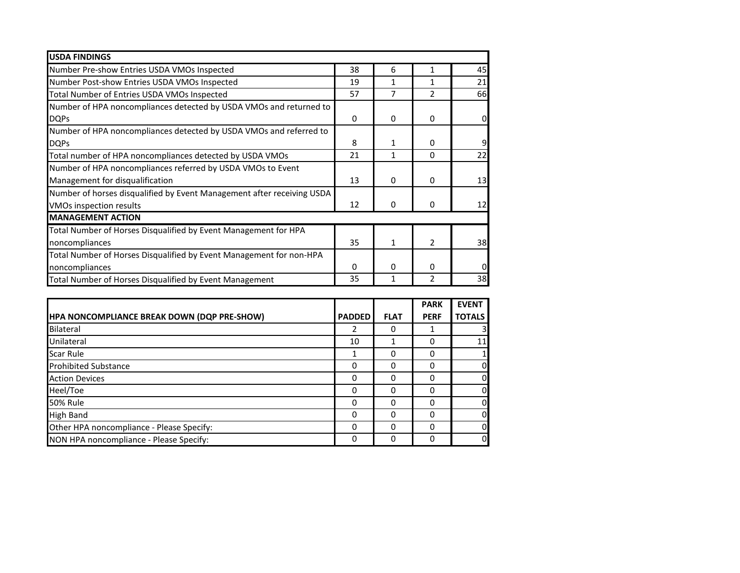| <b>USDA FINDINGS</b>                                                   |    |              |               |           |
|------------------------------------------------------------------------|----|--------------|---------------|-----------|
| Number Pre-show Entries USDA VMOs Inspected                            | 38 | 6            | 1             | 45        |
| Number Post-show Entries USDA VMOs Inspected                           | 19 | 1            | 1             | 21        |
| Total Number of Entries USDA VMOs Inspected                            | 57 | 7            | 2             | <b>66</b> |
| Number of HPA noncompliances detected by USDA VMOs and returned to     |    |              |               |           |
| <b>DQPs</b>                                                            | 0  | $\Omega$     | $\Omega$      | 0         |
| Number of HPA noncompliances detected by USDA VMOs and referred to     |    |              |               |           |
| <b>DQPs</b>                                                            | 8  | 1            | 0             |           |
| Total number of HPA noncompliances detected by USDA VMOs               | 21 | 1            | 0             | 22        |
| Number of HPA noncompliances referred by USDA VMOs to Event            |    |              |               |           |
| Management for disqualification                                        | 13 | 0            | $\Omega$      | 13        |
| Number of horses disqualified by Event Management after receiving USDA |    |              |               |           |
| VMOs inspection results                                                | 12 | $\mathbf{0}$ | $\Omega$      | 12        |
| <b>MANAGEMENT ACTION</b>                                               |    |              |               |           |
| Total Number of Horses Disqualified by Event Management for HPA        |    |              |               |           |
| noncompliances                                                         | 35 | $\mathbf{1}$ | $\mathcal{P}$ | 38        |
| Total Number of Horses Disqualified by Event Management for non-HPA    |    |              |               |           |
| noncompliances                                                         | 0  | 0            | $\Omega$      |           |
| Total Number of Horses Disqualified by Event Management                | 35 | 1            | 2             | 38        |

|                                             |               |             | <b>PARK</b> | <b>EVENT</b>  |
|---------------------------------------------|---------------|-------------|-------------|---------------|
| HPA NONCOMPLIANCE BREAK DOWN (DQP PRE-SHOW) | <b>PADDED</b> | <b>FLAT</b> | <b>PERF</b> | <b>TOTALS</b> |
| Bilateral                                   | 2             | 0           |             |               |
| Unilateral                                  | 10            |             | 0           | 11            |
| Scar Rule                                   | 1             | 0           | ი           |               |
| <b>Prohibited Substance</b>                 | 0             | 0           | 0           | 0             |
| <b>Action Devices</b>                       | 0             | 0           | 0           | 0             |
| Heel/Toe                                    | 0             | 0           | ŋ           | 0             |
| <b>50% Rule</b>                             | 0             | O           |             | 0             |
| <b>High Band</b>                            | 0             | O           |             | 0             |
| Other HPA noncompliance - Please Specify:   | 0             | 0           |             | $\mathbf 0$   |
| NON HPA noncompliance - Please Specify:     | 0             | $\Omega$    | 0           | $\mathbf 0$   |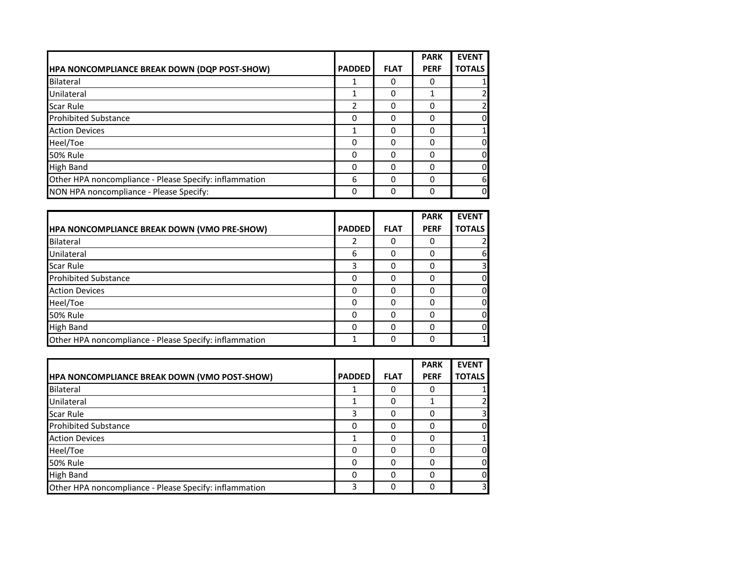|                                                        |               |             | <b>PARK</b> | <b>EVENT</b>   |
|--------------------------------------------------------|---------------|-------------|-------------|----------------|
| HPA NONCOMPLIANCE BREAK DOWN (DQP POST-SHOW)           | <b>PADDED</b> | <b>FLAT</b> | <b>PERF</b> | <b>TOTALS</b>  |
| Bilateral                                              |               | 0           |             |                |
| Unilateral                                             |               | 0           |             | $\overline{2}$ |
| Scar Rule                                              | 2             | 0           | 0           | 2              |
| <b>Prohibited Substance</b>                            | 0             | O           |             | $\mathbf 0$    |
| <b>Action Devices</b>                                  |               | 0           | O           |                |
| Heel/Toe                                               | 0             | 0           | 0           | $\mathbf 0$    |
| <b>50% Rule</b>                                        | 0             | 0           | 0           | $\overline{0}$ |
| <b>High Band</b>                                       | 0             | O           |             | $\overline{0}$ |
| Other HPA noncompliance - Please Specify: inflammation | 6             | 0           | 0           | 6              |
| NON HPA noncompliance - Please Specify:                | 0             | O           | ŋ           | <sub>0</sub>   |

|                                                        |               |             | <b>PARK</b> | <b>EVENT</b>  |
|--------------------------------------------------------|---------------|-------------|-------------|---------------|
| <b>HPA NONCOMPLIANCE BREAK DOWN (VMO PRE-SHOW)</b>     | <b>PADDED</b> | <b>FLAT</b> | <b>PERF</b> | <b>TOTALS</b> |
| Bilateral                                              | 2             | 0           |             |               |
| Unilateral                                             | 6             | 0           |             | 61            |
| <b>Scar Rule</b>                                       | 3             | 0           |             |               |
| <b>Prohibited Substance</b>                            | 0             | 0           |             | n             |
| <b>Action Devices</b>                                  | 0             | 0           |             | n             |
| Heel/Toe                                               | 0             | ŋ           |             |               |
| <b>50% Rule</b>                                        | 0             | 0           |             | o             |
| <b>High Band</b>                                       | $\Omega$      | 0           |             | n             |
| Other HPA noncompliance - Please Specify: inflammation |               | 0           |             |               |

|                                                        |               |             | <b>PARK</b> | <b>EVENT</b>            |
|--------------------------------------------------------|---------------|-------------|-------------|-------------------------|
| <b>HPA NONCOMPLIANCE BREAK DOWN (VMO POST-SHOW)</b>    | <b>PADDED</b> | <b>FLAT</b> | <b>PERF</b> | <b>TOTALS</b>           |
| Bilateral                                              |               | Ω           |             |                         |
| Unilateral                                             |               | Ω           |             |                         |
| Scar Rule                                              | 3             | O           |             | $\overline{\mathbf{3}}$ |
| <b>Prohibited Substance</b>                            | 0             | 0           |             | <sub>0</sub>            |
| <b>Action Devices</b>                                  |               | 0           |             |                         |
| Heel/Toe                                               | ი             | O           |             | 0                       |
| <b>50% Rule</b>                                        | ი             | 0           |             | <sub>0</sub>            |
| <b>High Band</b>                                       | ი             | 0           |             | 0                       |
| Other HPA noncompliance - Please Specify: inflammation | 3             | 0           |             | $\overline{\mathsf{3}}$ |